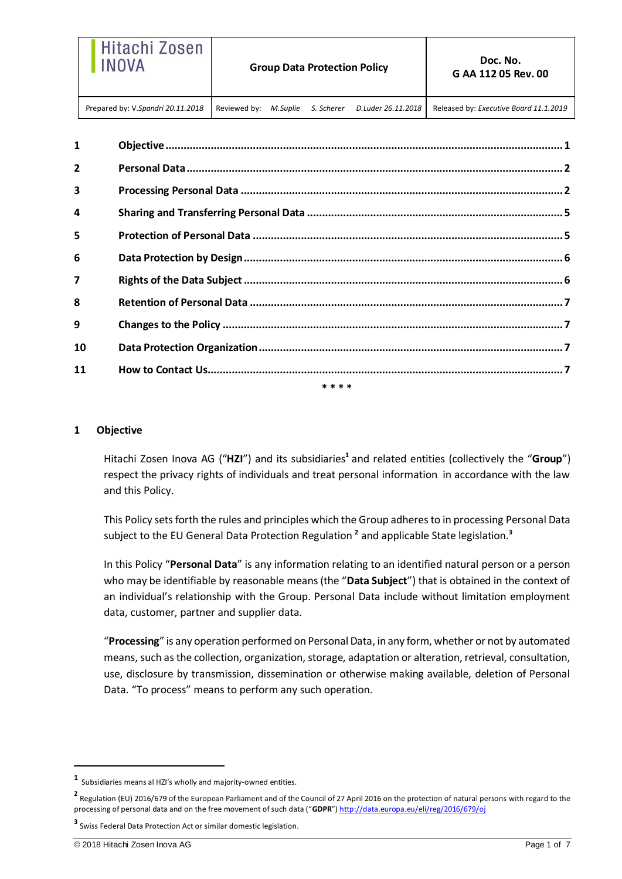| Hitachi Zosen<br><b>INOVA</b>     |              |          | <b>Group Data Protection Policy</b> |                    | Doc. No.<br>G AA 112 05 Rev. 00        |
|-----------------------------------|--------------|----------|-------------------------------------|--------------------|----------------------------------------|
| Prepared by: V.Spandri 20.11.2018 | Reviewed by: | M.Suplie | S. Scherer                          | D.Luder 26.11.2018 | Released by: Executive Board 11.1.2019 |

| $\mathbf{1}$     |           |  |
|------------------|-----------|--|
| $\overline{2}$   |           |  |
| 3                |           |  |
| 4                |           |  |
| 5                |           |  |
| 6                |           |  |
| $\boldsymbol{7}$ |           |  |
| 8                |           |  |
| 9                |           |  |
| 10               |           |  |
| 11               |           |  |
|                  | $* * * *$ |  |

# <span id="page-0-0"></span>**1 Objective**

Hitachi Zosen Inova AG ("**HZI**") and its subsidiaries**<sup>1</sup>** and related entities (collectively the "**Group**") respect the privacy rights of individuals and treat personal information in accordance with the law and this Policy.

This Policy sets forth the rules and principles which the Group adheres to in processing Personal Data subject to the EU General Data Protection Regulation **<sup>2</sup>** and applicable State legislation.**<sup>3</sup>**

In this Policy "**Personal Data**" is any information relating to an identified natural person or a person who may be identifiable by reasonable means (the "**Data Subject**") that is obtained in the context of an individual's relationship with the Group. Personal Data include without limitation employment data, customer, partner and supplier data.

"**Processing**" is any operation performed on Personal Data, in any form, whether or not by automated means, such as the collection, organization, storage, adaptation or alteration, retrieval, consultation, use, disclosure by transmission, dissemination or otherwise making available, deletion of Personal Data. "To process" means to perform any such operation.

**<sup>1</sup>** Subsidiaries means al HZI's wholly and majority-owned entities.

**<sup>2</sup>** Regulation (EU) 2016/679 of the European Parliament and of the Council of 27 April 2016 on the protection of natural persons with regard to the processing of personal data and on the free movement of such data ("**GDPR**") <http://data.europa.eu/eli/reg/2016/679/oj>

**<sup>3</sup>** Swiss Federal Data Protection Act or similar domestic legislation.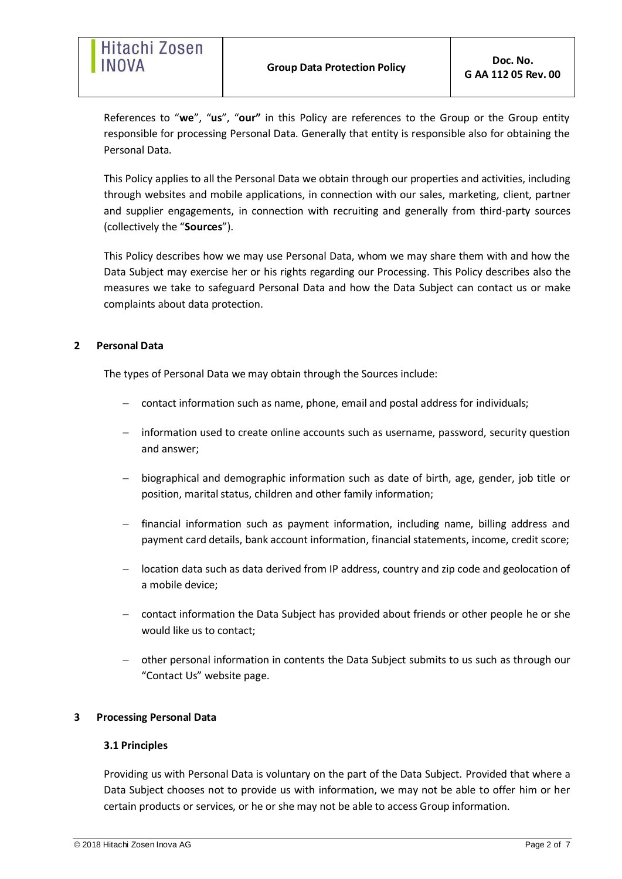References to "**we**", "**us**", "**our"** in this Policy are references to the Group or the Group entity responsible for processing Personal Data. Generally that entity is responsible also for obtaining the Personal Data.

This Policy applies to all the Personal Data we obtain through our properties and activities, including through websites and mobile applications, in connection with our sales, marketing, client, partner and supplier engagements, in connection with recruiting and generally from third-party sources (collectively the "**Sources**").

This Policy describes how we may use Personal Data, whom we may share them with and how the Data Subject may exercise her or his rights regarding our Processing. This Policy describes also the measures we take to safeguard Personal Data and how the Data Subject can contact us or make complaints about data protection.

# <span id="page-1-0"></span>**2 Personal Data**

The types of Personal Data we may obtain through the Sources include:

- contact information such as name, phone, email and postal address for individuals;
- information used to create online accounts such as username, password, security question and answer;
- biographical and demographic information such as date of birth, age, gender, job title or position, marital status, children and other family information;
- financial information such as payment information, including name, billing address and payment card details, bank account information, financial statements, income, credit score;
- location data such as data derived from IP address, country and zip code and geolocation of a mobile device;
- contact information the Data Subject has provided about friends or other people he or she would like us to contact;
- other personal information in contents the Data Subject submits to us such as through our ["Contact Us"](https://www.ge.com/contact/general) website page.

## <span id="page-1-1"></span>**3 Processing Personal Data**

## **3.1 Principles**

Providing us with Personal Data is voluntary on the part of the Data Subject. Provided that where a Data Subject chooses not to provide us with information, we may not be able to offer him or her certain products or services, or he or she may not be able to access Group information.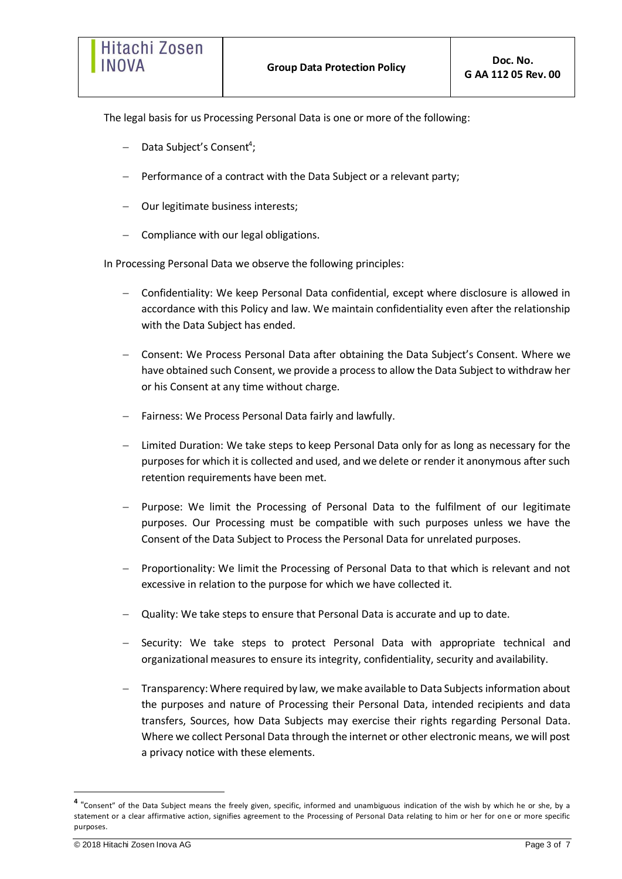The legal basis for us Processing Personal Data is one or more of the following:

- Data Subject's Consent<sup>4</sup>;
- Performance of a contract with the Data Subject or a relevant party;
- Our legitimate business interests;
- $-$  Compliance with our legal obligations.

In Processing Personal Data we observe the following principles:

- Confidentiality: We keep Personal Data confidential, except where disclosure is allowed in accordance with this Policy and law. We maintain confidentiality even after the relationship with the Data Subject has ended.
- Consent: We Process Personal Data after obtaining the Data Subject's Consent. Where we have obtained such Consent, we provide a process to allow the Data Subject to withdraw her or his Consent at any time without charge.
- Fairness: We Process Personal Data fairly and lawfully.
- Limited Duration: We take steps to keep Personal Data only for as long as necessary for the purposes for which it is collected and used, and we delete or render it anonymous after such retention requirements have been met.
- Purpose: We limit the Processing of Personal Data to the fulfilment of our legitimate purposes. Our Processing must be compatible with such purposes unless we have the Consent of the Data Subject to Process the Personal Data for unrelated purposes.
- Proportionality: We limit the Processing of Personal Data to that which is relevant and not excessive in relation to the purpose for which we have collected it.
- Quality: We take steps to ensure that Personal Data is accurate and up to date.
- Security: We take steps to protect Personal Data with appropriate technical and organizational measures to ensure its integrity, confidentiality, security and availability.
- Transparency: Where required by law, we make available to Data Subjects information about the purposes and nature of Processing their Personal Data, intended recipients and data transfers, Sources, how Data Subjects may exercise their rights regarding Personal Data. Where we collect Personal Data through the internet or other electronic means, we will post a privacy notice with these elements.

**<sup>4</sup>** "Consent" of the Data Subject means the freely given, specific, informed and unambiguous indication of the wish by which he or she, by a statement or a clear affirmative action, signifies agreement to the Processing of Personal Data relating to him or her for on e or more specific purposes.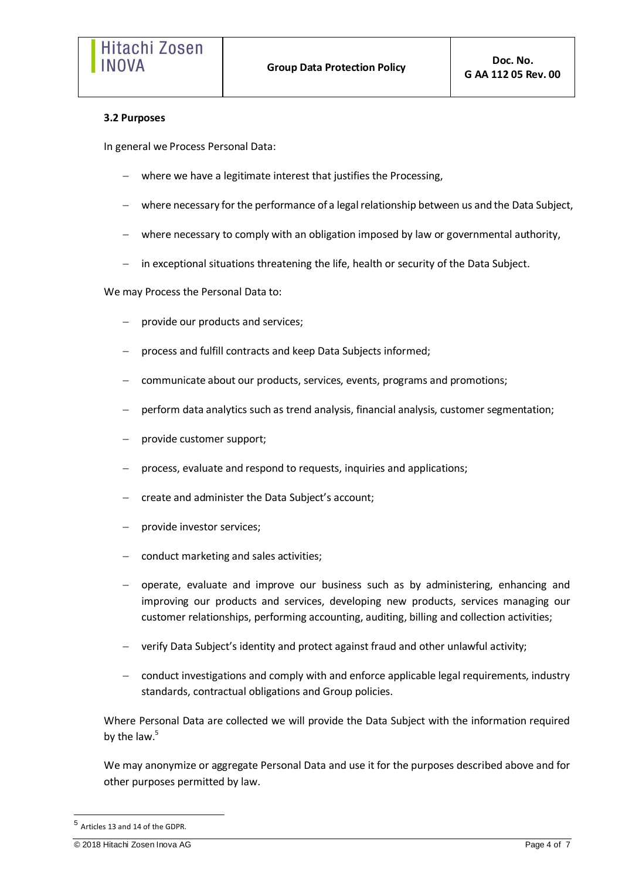## **3.2 Purposes**

In general we Process Personal Data:

- where we have a legitimate interest that justifies the Processing,
- where necessary for the performance of a legal relationship between us and the Data Subject,
- where necessary to comply with an obligation imposed by law or governmental authority,
- in exceptional situations threatening the life, health or security of the Data Subject.

We may Process the Personal Data to:

- provide our products and services;
- process and fulfill contracts and keep Data Subjects informed;
- communicate about our products, services, events, programs and promotions;
- perform data analytics such as trend analysis, financial analysis, customer segmentation;
- provide customer support;
- process, evaluate and respond to requests, inquiries and applications;
- create and administer the Data Subject's account;
- provide investor services;
- conduct marketing and sales activities;
- operate, evaluate and improve our business such as by administering, enhancing and improving our products and services, developing new products, services managing our customer relationships, performing accounting, auditing, billing and collection activities;
- verify Data Subject's identity and protect against fraud and other unlawful activity;
- conduct investigations and comply with and enforce applicable legal requirements, industry standards, contractual obligations and Group policies.

Where Personal Data are collected we will provide the Data Subject with the information required by the law.<sup>5</sup>

We may anonymize or aggregate Personal Data and use it for the purposes described above and for other purposes permitted by law.

<sup>5</sup> Articles 13 and 14 of the GDPR.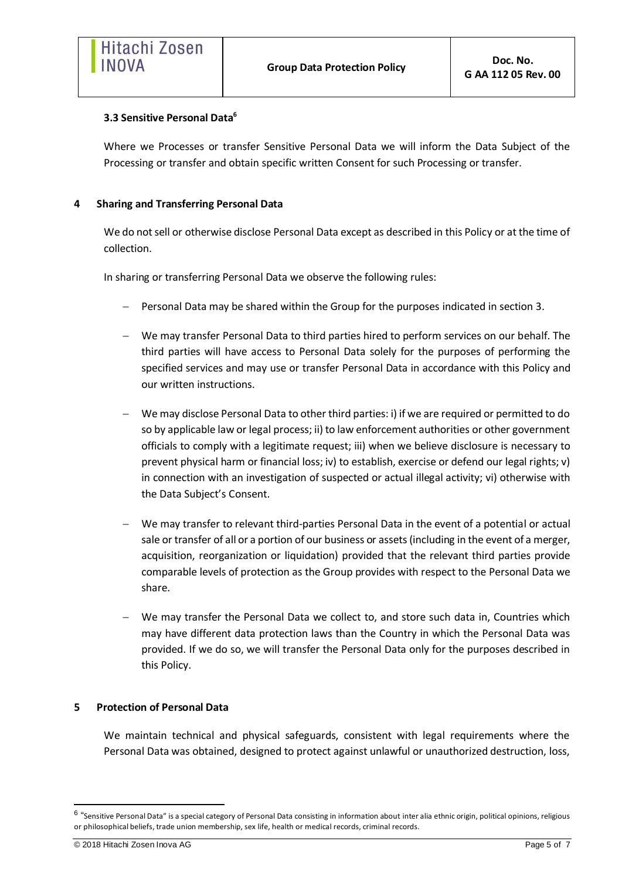## **3.3 Sensitive Personal Data<sup>6</sup>**

Where we Processes or transfer Sensitive Personal Data we will inform the Data Subject of the Processing or transfer and obtain specific written Consent for such Processing or transfer.

# <span id="page-4-0"></span>**4 Sharing and Transferring Personal Data**

We do not sell or otherwise disclose Personal Data except as described in this Policy or at the time of collection.

In sharing or transferring Personal Data we observe the following rules:

- Personal Data may be shared within the Group for the purposes indicated in section 3.
- We may transfer Personal Data to third parties hired to perform services on our behalf. The third parties will have access to Personal Data solely for the purposes of performing the specified services and may use or transfer Personal Data in accordance with this Policy and our written instructions.
- We may disclose Personal Data to other third parties: i) if we are required or permitted to do so by applicable law or legal process; ii) to law enforcement authorities or other government officials to comply with a legitimate request; iii) when we believe disclosure is necessary to prevent physical harm or financial loss; iv) to establish, exercise or defend our legal rights; v) in connection with an investigation of suspected or actual illegal activity; vi) otherwise with the Data Subject's Consent.
- We may transfer to relevant third-parties Personal Data in the event of a potential or actual sale or transfer of all or a portion of our business or assets (including in the event of a merger, acquisition, reorganization or liquidation) provided that the relevant third parties provide comparable levels of protection as the Group provides with respect to the Personal Data we share.
- We may transfer the Personal Data we collect to, and store such data in, Countries which may have different data protection laws than the Country in which the Personal Data was provided. If we do so, we will transfer the Personal Data only for the purposes described in this Policy.

# <span id="page-4-1"></span>**5 Protection of Personal Data**

We maintain technical and physical safeguards, consistent with legal requirements where the Personal Data was obtained, designed to protect against unlawful or unauthorized destruction, loss,

 $^6$  "Sensitive Personal Data" is a special category of Personal Data consisting in information about inter alia ethnic origin, political opinions, religious or philosophical beliefs, trade union membership, sex life, health or medical records, criminal records.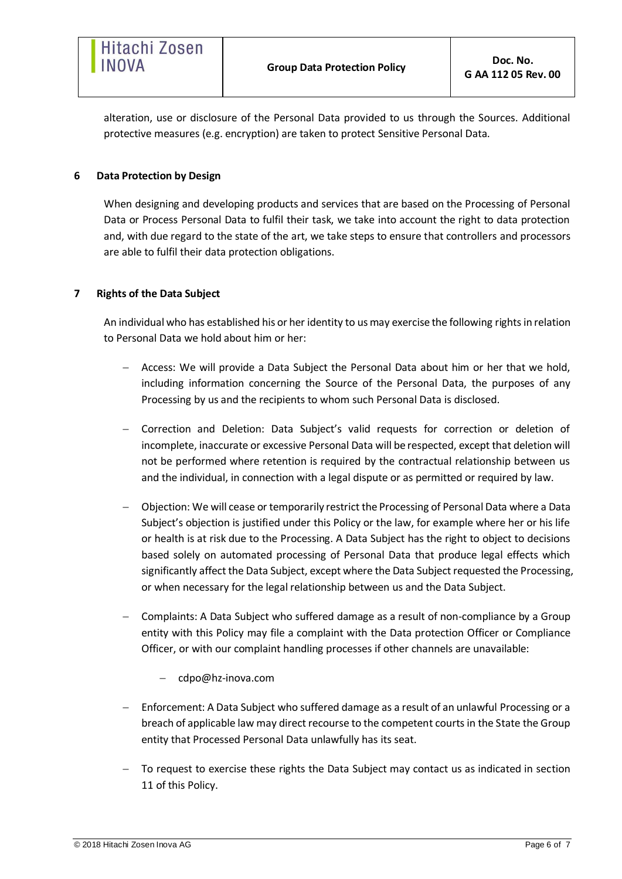alteration, use or disclosure of the Personal Data provided to us through the Sources. Additional protective measures (e.g. encryption) are taken to protect Sensitive Personal Data.

# <span id="page-5-0"></span>**6 Data Protection by Design**

When designing and developing products and services that are based on the Processing of Personal Data or Process Personal Data to fulfil their task, we take into account the right to data protection and, with due regard to the state of the art, we take steps to ensure that controllers and processors are able to fulfil their data protection obligations.

# <span id="page-5-1"></span>**7 Rights of the Data Subject**

An individual who has established his or her identity to us may exercise the following rights in relation to Personal Data we hold about him or her:

- Access: We will provide a Data Subject the Personal Data about him or her that we hold, including information concerning the Source of the Personal Data, the purposes of any Processing by us and the recipients to whom such Personal Data is disclosed.
- Correction and Deletion: Data Subject's valid requests for correction or deletion of incomplete, inaccurate or excessive Personal Data will be respected, except that deletion will not be performed where retention is required by the contractual relationship between us and the individual, in connection with a legal dispute or as permitted or required by law.
- Objection: We will cease or temporarily restrict the Processing of Personal Data where a Data Subject's objection is justified under this Policy or the law, for example where her or his life or health is at risk due to the Processing. A Data Subject has the right to object to decisions based solely on automated processing of Personal Data that produce legal effects which significantly affect the Data Subject, except where the Data Subject requested the Processing, or when necessary for the legal relationship between us and the Data Subject.
- Complaints: A Data Subject who suffered damage as a result of non-compliance by a Group entity with this Policy may file a complaint with the Data protection Officer or Compliance Officer, or with our complaint handling processes if other channels are unavailable:
	- cdpo@hz-inova.com
- Enforcement: A Data Subject who suffered damage as a result of an unlawful Processing or a breach of applicable law may direct recourse to the competent courts in the State the Group entity that Processed Personal Data unlawfully has its seat.
- To request to exercise these rights the Data Subject may contact us as indicated in section 11 of this Policy.